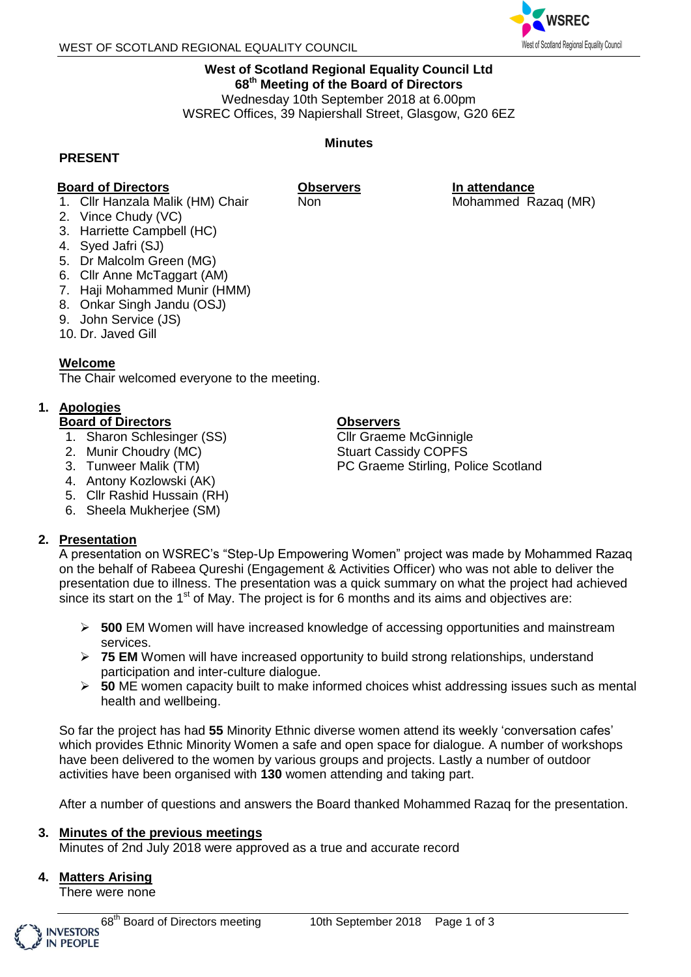

#### **West of Scotland Regional Equality Council Ltd 68 th Meeting of the Board of Directors** Wednesday 10th September 2018 at 6.00pm

WSREC Offices, 39 Napiershall Street, Glasgow, G20 6EZ

**Minutes**

#### **PRESENT**

## **Board of Directors**

**Observers**

1. Cllr Hanzala Malik (HM) Chair Non

2. Vince Chudy (VC)

- 3. Harriette Campbell (HC)
- 4. Syed Jafri (SJ)
- 5. Dr Malcolm Green (MG)
- 6. Cllr Anne McTaggart (AM)
- 7. Haji Mohammed Munir (HMM)
- 8. Onkar Singh Jandu (OSJ)
- 9. John Service (JS)
- 10. Dr. Javed Gill

## **Welcome**

The Chair welcomed everyone to the meeting.

# **1. Apologies**

## **Board of Directors**

- 1. Sharon Schlesinger (SS)
- 2. Munir Choudry (MC)
- 3. Tunweer Malik (TM)
- 4. Antony Kozlowski (AK)
- 5. Cllr Rashid Hussain (RH)
- 6. Sheela Mukherjee (SM)

# **2. Presentation**

#### A presentation on WSREC's "Step-Up Empowering Women" project was made by Mohammed Razaq on the behalf of Rabeea Qureshi (Engagement & Activities Officer) who was not able to deliver the presentation due to illness. The presentation was a quick summary on what the project had achieved since its start on the 1<sup>st</sup> of May. The project is for 6 months and its aims and objectives are:

- **500** EM Women will have increased knowledge of accessing opportunities and mainstream services.
- **75 EM** Women will have increased opportunity to build strong relationships, understand participation and inter-culture dialogue.
- **50** ME women capacity built to make informed choices whist addressing issues such as mental health and wellbeing.

So far the project has had **55** Minority Ethnic diverse women attend its weekly 'conversation cafes' which provides Ethnic Minority Women a safe and open space for dialogue. A number of workshops have been delivered to the women by various groups and projects. Lastly a number of outdoor activities have been organised with **130** women attending and taking part.

After a number of questions and answers the Board thanked Mohammed Razaq for the presentation.

## **3. Minutes of the previous meetings**

Minutes of 2nd July 2018 were approved as a true and accurate record

## **4. Matters Arising**

There were none

# **In attendance**

Mohammed Razaq (MR)

# **Observers**

Cllr Graeme McGinnigle Stuart Cassidy COPFS PC Graeme Stirling, Police Scotland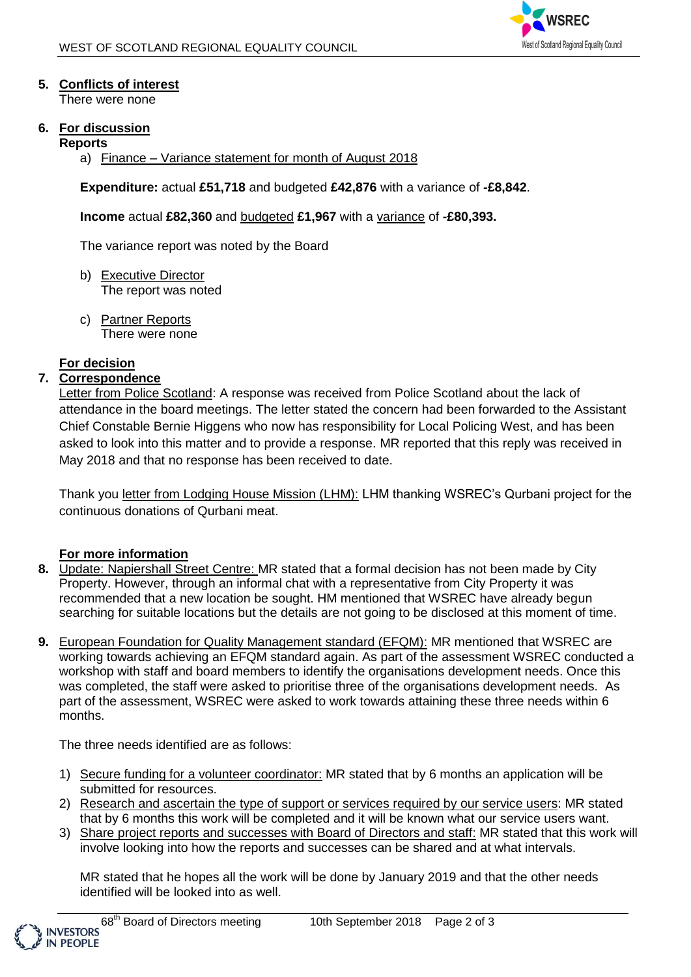

# **5. Conflicts of interest**

There were none

## **6. For discussion**

#### **Reports**

a) Finance – Variance statement for month of August 2018

**Expenditure:** actual **£51,718** and budgeted **£42,876** with a variance of **-£8,842**.

**Income** actual **£82,360** and budgeted **£1,967** with a variance of **-£80,393.** 

The variance report was noted by the Board

- b) Executive Director The report was noted
- c) Partner Reports There were none

## **For decision**

# **7. Correspondence**

Letter from Police Scotland: A response was received from Police Scotland about the lack of attendance in the board meetings. The letter stated the concern had been forwarded to the Assistant Chief Constable Bernie Higgens who now has responsibility for Local Policing West, and has been asked to look into this matter and to provide a response. MR reported that this reply was received in May 2018 and that no response has been received to date.

Thank you letter from Lodging House Mission (LHM): LHM thanking WSREC's Qurbani project for the continuous donations of Qurbani meat.

## **For more information**

- **8.** Update: Napiershall Street Centre: MR stated that a formal decision has not been made by City Property. However, through an informal chat with a representative from City Property it was recommended that a new location be sought. HM mentioned that WSREC have already begun searching for suitable locations but the details are not going to be disclosed at this moment of time.
- **9.** European Foundation for Quality Management standard (EFQM): MR mentioned that WSREC are working towards achieving an EFQM standard again. As part of the assessment WSREC conducted a workshop with staff and board members to identify the organisations development needs. Once this was completed, the staff were asked to prioritise three of the organisations development needs. As part of the assessment, WSREC were asked to work towards attaining these three needs within 6 months.

The three needs identified are as follows:

- 1) Secure funding for a volunteer coordinator: MR stated that by 6 months an application will be submitted for resources.
- 2) Research and ascertain the type of support or services required by our service users: MR stated that by 6 months this work will be completed and it will be known what our service users want.
- 3) Share project reports and successes with Board of Directors and staff: MR stated that this work will involve looking into how the reports and successes can be shared and at what intervals.

MR stated that he hopes all the work will be done by January 2019 and that the other needs identified will be looked into as well.